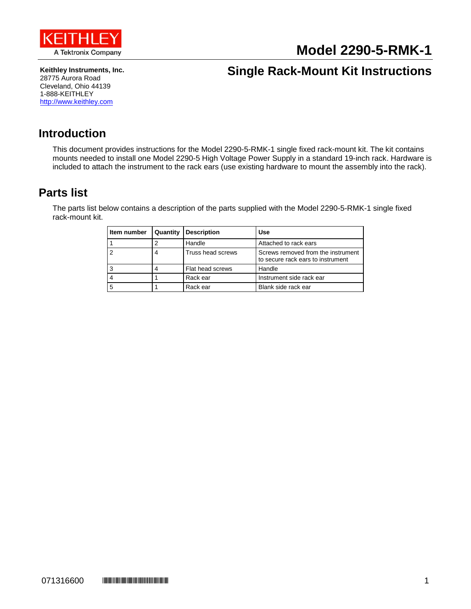

# **Model 2290-5-RMK-1**

**Keithley Instruments, Inc.** 28775 Aurora Road Cleveland, Ohio 44139 1-888-KEITHLEY [http://www.keithley.com](http://www.keithley.com/)

## **Single Rack-Mount Kit Instructions**

#### **Introduction**

This document provides instructions for the Model 2290-5-RMK-1 single fixed rack-mount kit. The kit contains mounts needed to install one Model 2290-5 High Voltage Power Supply in a standard 19-inch rack. Hardware is included to attach the instrument to the rack ears (use existing hardware to mount the assembly into the rack).

#### <span id="page-0-0"></span>**Parts list**

The parts list below contains a description of the parts supplied with the Model 2290-5-RMK-1 single fixed rack-mount kit.

| Item number | Quantity | <b>Description</b> | Use                                                                     |
|-------------|----------|--------------------|-------------------------------------------------------------------------|
|             |          | Handle             | Attached to rack ears                                                   |
|             |          | Truss head screws  | Screws removed from the instrument<br>to secure rack ears to instrument |
|             |          | Flat head screws   | Handle                                                                  |
|             |          | Rack ear           | Instrument side rack ear                                                |
| 5           |          | Rack ear           | Blank side rack ear                                                     |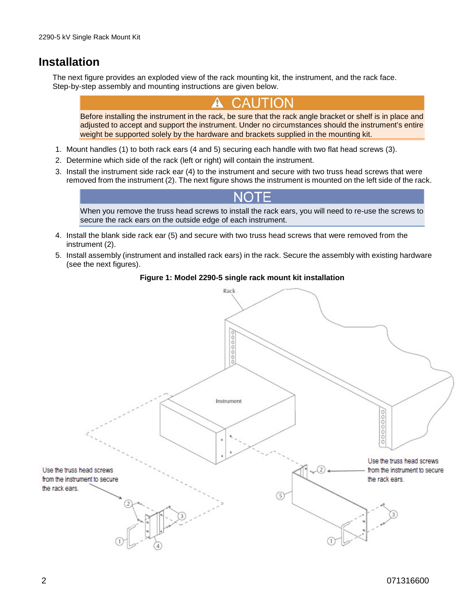### **Installation**

The next figure provides an exploded view of the rack mounting kit, the instrument, and the rack face. Step-by-step assembly and mounting instructions are given below.

Before installing the instrument in the rack, be sure that the rack angle bracket or shelf is in place and adjusted to accept and support the instrument. Under no circumstances should the instrument's entire weight be supported solely by the hardware and brackets supplied in the mounting kit.

- 1. Mount handles (1) to both rack ears (4 and 5) securing each handle with two flat head screws (3).
- 2. Determine which side of the rack (left or right) will contain the instrument.
- 3. Install the instrument side rack ear (4) to the instrument and secure with two truss head screws that were removed from the instrument (2). The next figure shows the instrument is mounted on the left side of the rack.

When you remove the truss head screws to install the rack ears, you will need to re-use the screws to secure the rack ears on the outside edge of each instrument.

- 4. Install the blank side rack ear (5) and secure with two truss head screws that were removed from the instrument (2).
- 5. Install assembly (instrument and installed rack ears) in the rack. Secure the assembly with existing hardware (see the next figures).

#### **Figure 1: Model 2290-5 single rack mount kit installation**

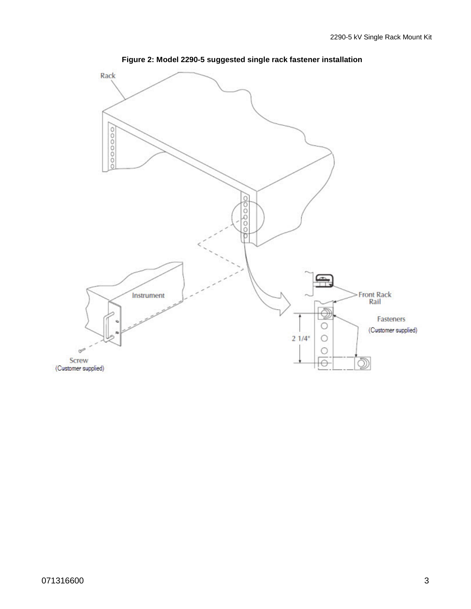

**Figure 2: Model 2290-5 suggested single rack fastener installation**